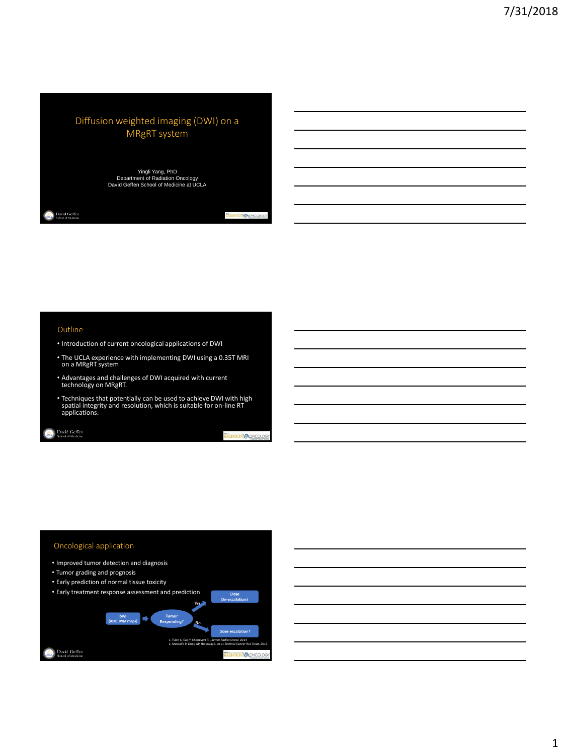# Diffusion weighted imaging (DWI) on a MRgRT system

Yingli Yang, PhD<br>Department of Radiation Oncology<br>David Geffen School of Medicine at UCLA

#### Outline

**David Geffen**<br>School of Medicine

- Introduction of current oncological applications of DWI
- The UCLA experience with implementing DWI using a 0.35T MRI on a MRgRT system
- Advantages and challenges of DWI acquired with current technology on MRgRT.
- Techniques that potentially can be used to achieve DWI with high spatial integrity and resolution, which is suitable for on-line RT applications.

David Geffen

ONVOLCHCO

52

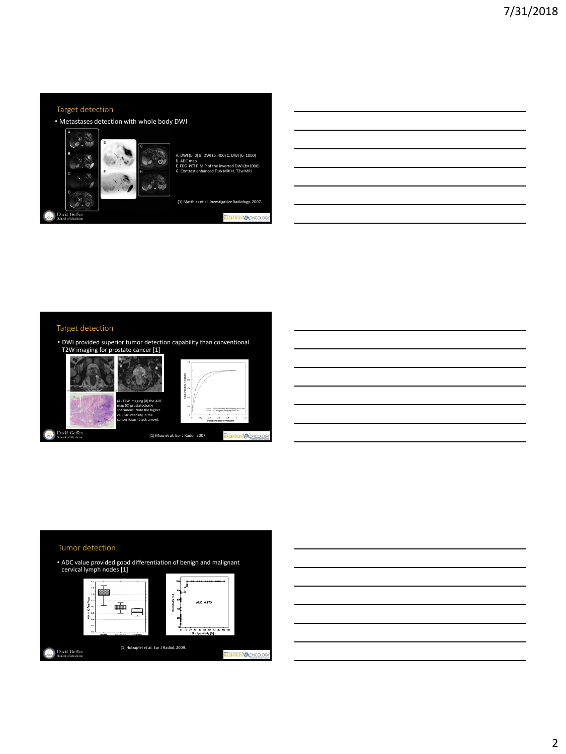## Target detection

• Metastases detection with whole body DWI





RADIATION **OCOLOGY** 

#### Target detection

• DWI provided superior tumor detection capability than conventional T2W imaging for prostate cancer [1]



#### Tumor detection

• ADC value provided good differentiation of benign and malignant cervical lymph nodes [1]



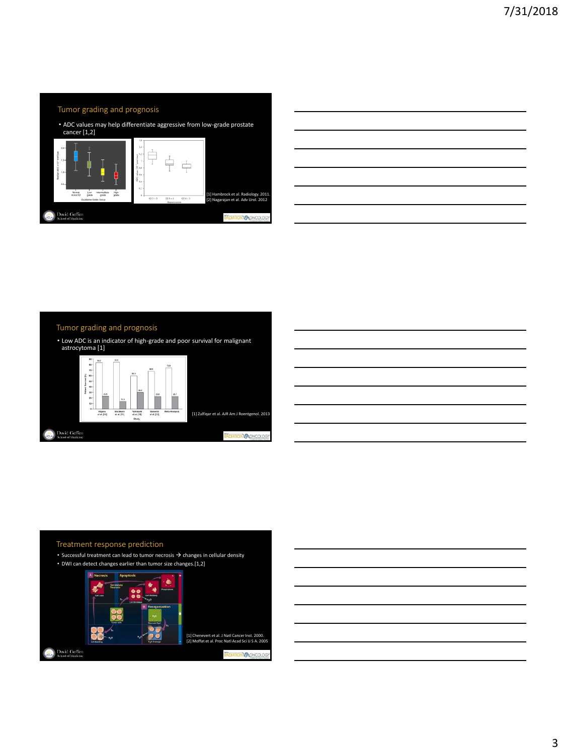

|                                                 | <u> 1989 - Andrea Andrew Maria (h. 1989).</u>                          |  |  |
|-------------------------------------------------|------------------------------------------------------------------------|--|--|
|                                                 | <u> 1989 - Andrea Andrew Maria (h. 1989).</u>                          |  |  |
| <u> 1989 - Andrea Station Barbara (b. 1989)</u> |                                                                        |  |  |
|                                                 | <u> 1989 - Jan Samuel Barbara, margaret eta biztanleria (h. 1989).</u> |  |  |
|                                                 |                                                                        |  |  |
|                                                 |                                                                        |  |  |

 $\overline{\phantom{0}}$ 

#### Tumor grading and prognosis • Low ADC is an indicator of high-grade and poor survival for malignant astrocytoma [1] o a g g g g g g<br>e a g g g g g g  $\overline{\phantom{a}}$ Murakami<br>et al. [11] Higano<br>et al. [10] Yarnasaki<br>et al. [12]<br>Study Saksena<br>et al. [13] [1] Zulfiqar et al. AJR Am J Roentgenol. 2013 David Geffen<br>School of Medicine RADIATION VONC



#### Treatment response prediction

- Successful treatment can lead to tumor necrosis  $\rightarrow$  changes in cellular density
- DWI can detect changes earlier than tumor size changes.[1,2]

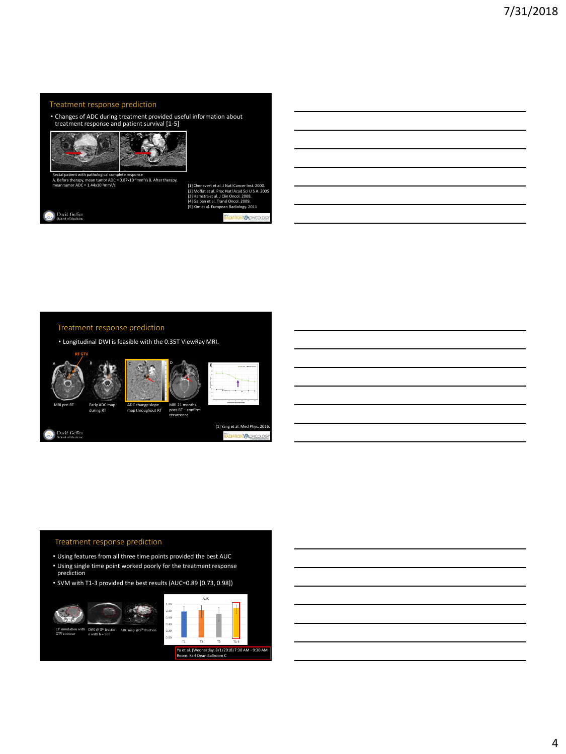## Treatment response prediction

• Changes of ADC during treatment provided useful information about treatment response and patient survival [1-5]



Rectal patient with pathological complete response<br>A. Before therapy, mean tumor ADC = 0.87x10<sup>.3</sup>mm<sup>2</sup>/s B. After therapy, mean tumor ADC =  $1.44 \times 10^{-3}$ mm<sup>2</sup>/s.

[1] Chenevert et al. J Natl Cancer Inst. 2000. [2] Moffat et al. Proc Natl Acad Sci U S A. 2005 [3] Hamstra et al. J Clin Oncol. 2008. [4] Galbán et al. Transl Oncol. 2009. [5] Kim et al. European Radiology. 2011 RADIATION OCONCOLOG

David Geffen

| Treatment response prediction |  |
|-------------------------------|--|
|                               |  |

• Longitudinal DWI is feasible with the 0.35T ViewRay MRI.







Early ADC map during RT

David Geffen

post-RT – confirm recurrence

D

[1] Yang et al. Med Phys. 2016. **MACH** 

#### Treatment response prediction

- Using features from all three time points provided the best AUC
- Using single time point worked poorly for the treatment response prediction
- SVM with T1-3 provided the best results (AUC=0.89 [0.73, 0.98])

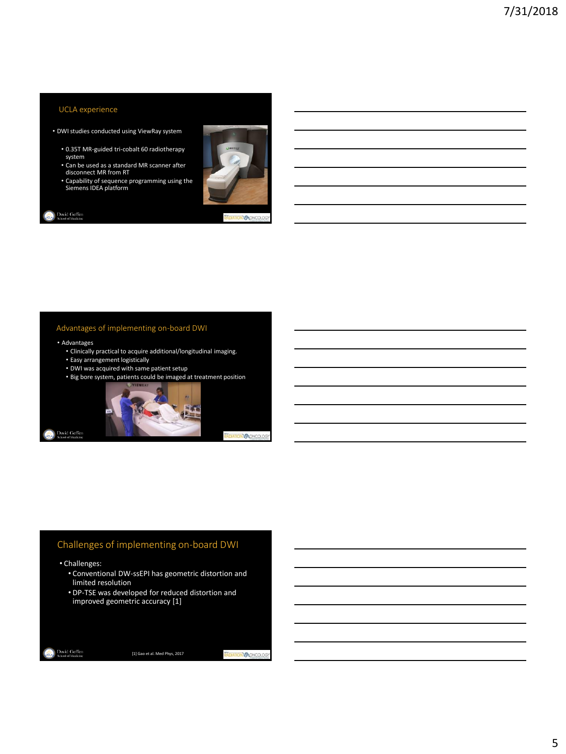# UCLA experience

- DWI studies conducted using ViewRay system
	- 0.35T MR-guided tri-cobalt 60 radiotherapy system
	- Can be used as a standard MR scanner after disconnect MR from RT
	- Capability of sequence programming using the Siemens IDEA platform



RADIATION ONCOLOG

David Geffen

# Advantages of implementing on-board DWI

#### • Advantages

- Clinically practical to acquire additional/longitudinal imaging.
- Easy arrangement logistically
- DWI was acquired with same patient setup
- Big bore system, patients could be imaged at treatment position



**MAGNO** 

# Challenges of implementing on-board DWI

- Challenges:
	- Conventional DW-ssEPI has geometric distortion and limited resolution
	- DP-TSE was developed for reduced distortion and improved geometric accuracy [1]

[1] Gao et al. Med Phys, 2017

RADIATION OCONCOLOGY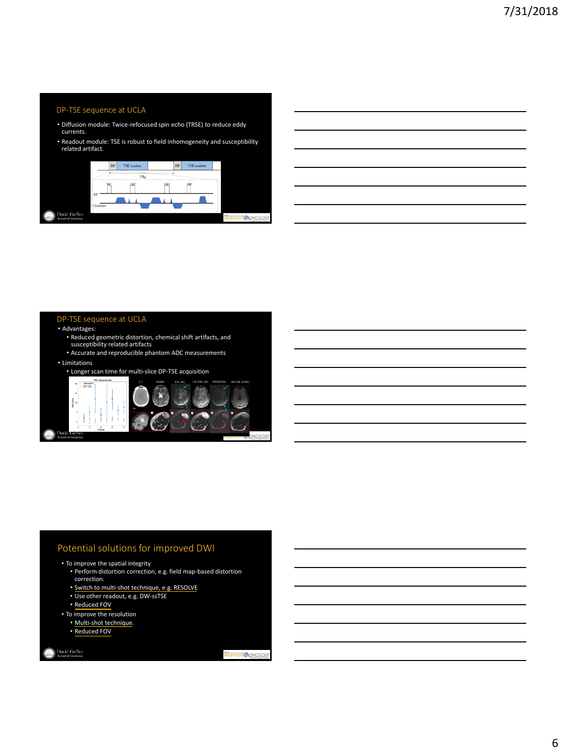#### DP-TSE sequence at UCLA

- Diffusion module: Twice-refocused spin echo (TRSE) to reduce eddy currents.
- Readout module: TSE is robust to field inhomogeneity and susceptibility related artifact.



# DP-TSE sequence at UCLA

#### • Advantages:

- Reduced geometric distortion, chemical shift artifacts, and susceptibility related artifacts
- Accurate and reproducible phantom ADC measurements

#### • Limitations

• Longer scan time for multi-slice DP-TSE acquisition



## Potential solutions for improved DWI

## • To improve the spatial integrity

- Perform distortion correction, e.g. field map-based distortion correction.
- Switch to multi-shot technique, e.g. RESOLVE
- Use other readout, e.g. DW-ssTSE
- Reduced FOV
- To improve the resolution
	- Multi-shot technique.
	- Reduced FOV

David Geffen

RADIATION **O** CIVICOLOGY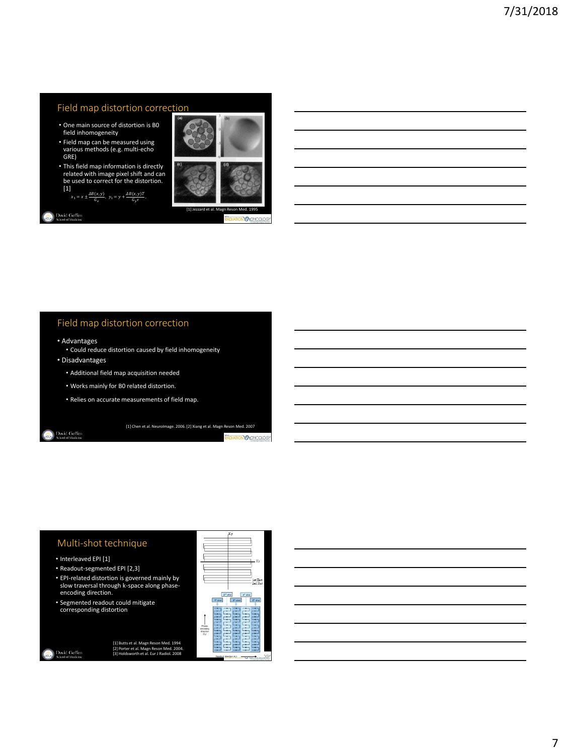## Field map distortion correction

- One main source of distortion is B0 field inhomogeneity
- Field map can be measured using various methods (e.g. multi-echo GRE)
- This field map information is directly related with image pixel shift and can be used to correct for the distortion. [1]  $x_1 = x \pm \frac{\Delta B(x, y)}{G_x}, y_1 = y + \frac{\Delta B(x, y)T}{G_y \tau},$



#### David Geffen

**ATION DONCO** 

# Field map distortion correction

• Advantages

• Could reduce distortion caused by field inhomogeneity

• Disadvantages

- Additional field map acquisition needed
- Works mainly for B0 related distortion.
- Relies on accurate measurements of field map.

David Geffen

[1] Chen et al. NeuroImage. 2006. [2] Xiang et al. Magn Reson Med. 2007

**DIATION ONCOLOGY** 

#### Multi-shot technique

- Interleaved EPI [1]
- Readout-segmented EPI [2,3]
- EPI-related distortion is governed mainly by slow traversal through k-space along phaseencoding direction.
- Segmented readout could mitigate corresponding distortion



David Geffen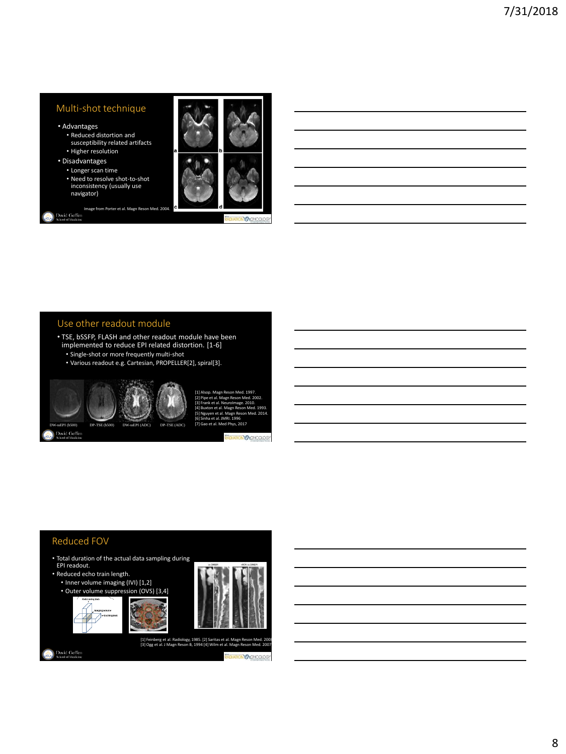## Multi-shot technique

- Advantages
	- Reduced distortion and susceptibility related artifacts
	- Higher resolution
- Disadvantages
	- Longer scan time
	- Need to resolve shot-to-shot inconsistency (usually use navigator)

Image from Porter et al. Magn Reson Med. 2004.<br>
School of Medicine



**ON** 

# Use other readout module

- TSE, bSSFP, FLASH and other readout module have been implemented to reduce EPI related distortion. [1-6]
	- Single-shot or more frequently multi-shot
	- Various readout e.g. Cartesian, PROPELLER[2], spiral[3].



David Geffen



[1] Alsop. Magn Reson Med. 1997. [2] Pipe et al. Magn Reson Med. 2002. k et al. NeuroImage. 2010 [4] Buxton et al. Magn Reson Med. 1993. [5] Nguyen et al. Magn Reson Med. 2014. [6] Sinha et al. JMRI. 1996<br>[7] Gao et al. Med Phys, 2017

**TONO CONCOLOGY** 

# Reduced FOV

**David Geffen**<br>School of Medicine

- Total duration of the actual data sampling during EPI readout.
- Reduced echo train length.
- Inner volume imaging (IVI) [1,2] • Outer volume suppression (OVS) [3,4]







[1] Feinberg et al. Radiology, 1985. [2] Saritas et al. Magn Reson Med. 2008 . [3] Ogg et al. J Magn Reson B, 1994 [4] Wilm et al. Magn Reson Med. 2007.

**REDIATION CONCOLO**